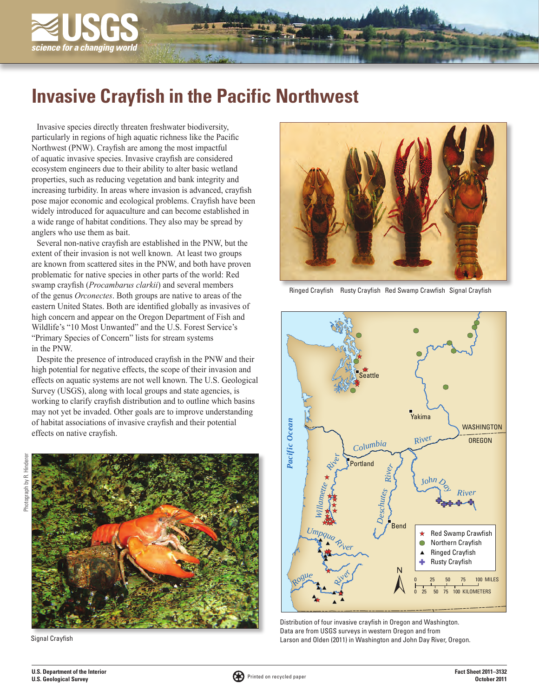

# **Invasive Crayfish in the Pacific Northwest**

Invasive species directly threaten freshwater biodiversity, particularly in regions of high aquatic richness like the Pacific Northwest (PNW). Crayfish are among the most impactful of aquatic invasive species. Invasive crayfish are considered ecosystem engineers due to their ability to alter basic wetland properties, such as reducing vegetation and bank integrity and increasing turbidity. In areas where invasion is advanced, crayfish pose major economic and ecological problems. Crayfish have been widely introduced for aquaculture and can become established in a wide range of habitat conditions. They also may be spread by anglers who use them as bait.

Several non-native crayfish are established in the PNW, but the extent of their invasion is not well known. At least two groups are known from scattered sites in the PNW, and both have proven problematic for native species in other parts of the world: Red swamp crayfish (*Procambarus clarkii*) and several members of the genus *Orconectes*. Both groups are native to areas of the eastern United States. Both are identified globally as invasives of high concern and appear on the Oregon Department of Fish and Wildlife's "10 Most Unwanted" and the U.S. Forest Service's "Primary Species of Concern" lists for stream systems in the PNW.

Despite the presence of introduced crayfish in the PNW and their high potential for negative effects, the scope of their invasion and effects on aquatic systems are not well known. The U.S. Geological Survey (USGS), along with local groups and state agencies, is working to clarify crayfish distribution and to outline which basins may not yet be invaded. Other goals are to improve understanding of habitat associations of invasive crayfish and their potential effects on native crayfish.



Signal Crayfish



Ringed Crayfish Rusty Crayfish Red Swamp Crawfish Signal Crayfish



Distribution of four invasive crayfish in Oregon and Washington. Data are from USGS surveys in western Oregon and from Larson and Olden (2011) in Washington and John Day River, Oregon.